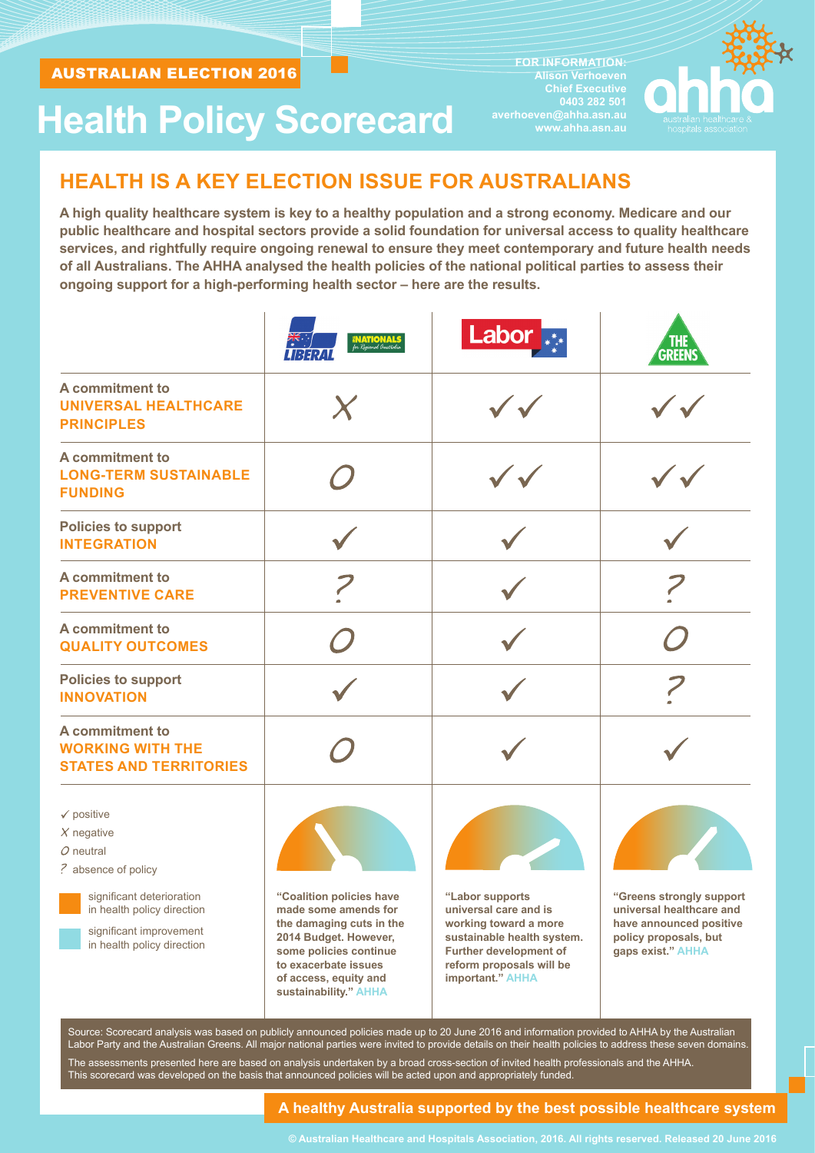**FOR INFORMATION: Alison Verhoeven Chief Executive 0403 282 501 averhoeven@ahha.asn.au www.ahha.asn.au** 



# **Health Policy Scorecard**

# **HEALTH IS A KEY ELECTION ISSUE FOR AUSTRALIANS**

**A high quality healthcare system is key to a healthy population and a strong economy. Medicare and our public healthcare and hospital sectors provide a solid foundation for universal access to quality healthcare services, and rightfully require ongoing renewal to ensure they meet contemporary and future health needs of all Australians. The AHHA analysed the health policies of the national political parties to assess their ongoing support for a high-performing health sector – here are the results.**

|                                                                                                                                                                                                 | <b>NATIONALS</b><br>for Regional Australia                                                                                                                                                                | Labor <sub>***</sub>                                                                                                                                                             | <b>GREENS</b>                                                                                                                 |
|-------------------------------------------------------------------------------------------------------------------------------------------------------------------------------------------------|-----------------------------------------------------------------------------------------------------------------------------------------------------------------------------------------------------------|----------------------------------------------------------------------------------------------------------------------------------------------------------------------------------|-------------------------------------------------------------------------------------------------------------------------------|
| A commitment to<br><b>UNIVERSAL HEALTHCARE</b><br><b>PRINCIPLES</b>                                                                                                                             |                                                                                                                                                                                                           |                                                                                                                                                                                  |                                                                                                                               |
| A commitment to<br><b>LONG-TERM SUSTAINABLE</b><br><b>FUNDING</b>                                                                                                                               |                                                                                                                                                                                                           |                                                                                                                                                                                  |                                                                                                                               |
| <b>Policies to support</b><br><b>INTEGRATION</b>                                                                                                                                                |                                                                                                                                                                                                           |                                                                                                                                                                                  |                                                                                                                               |
| A commitment to<br><b>PREVENTIVE CARE</b>                                                                                                                                                       |                                                                                                                                                                                                           |                                                                                                                                                                                  |                                                                                                                               |
| A commitment to<br><b>QUALITY OUTCOMES</b>                                                                                                                                                      |                                                                                                                                                                                                           |                                                                                                                                                                                  |                                                                                                                               |
| <b>Policies to support</b><br><b>INNOVATION</b>                                                                                                                                                 |                                                                                                                                                                                                           |                                                                                                                                                                                  |                                                                                                                               |
| A commitment to<br><b>WORKING WITH THE</b><br><b>STATES AND TERRITORIES</b>                                                                                                                     |                                                                                                                                                                                                           |                                                                                                                                                                                  |                                                                                                                               |
| $\checkmark$ positive<br>$X$ negative<br>$O$ neutral<br>? absence of policy<br>significant deterioration<br>in health policy direction<br>significant improvement<br>in health policy direction | "Coalition policies have<br>made some amends for<br>the damaging cuts in the<br>2014 Budget. However,<br>some policies continue<br>to exacerbate issues<br>of access, equity and<br>sustainability." AHHA | "Labor supports<br>universal care and is<br>working toward a more<br>sustainable health system.<br><b>Further development of</b><br>reform proposals will be<br>important." AHHA | "Greens strongly support<br>universal healthcare and<br>have announced positive<br>policy proposals, but<br>gaps exist." AHHA |

This scorecard was developed on the basis that announced policies will be acted upon and appropriately funded.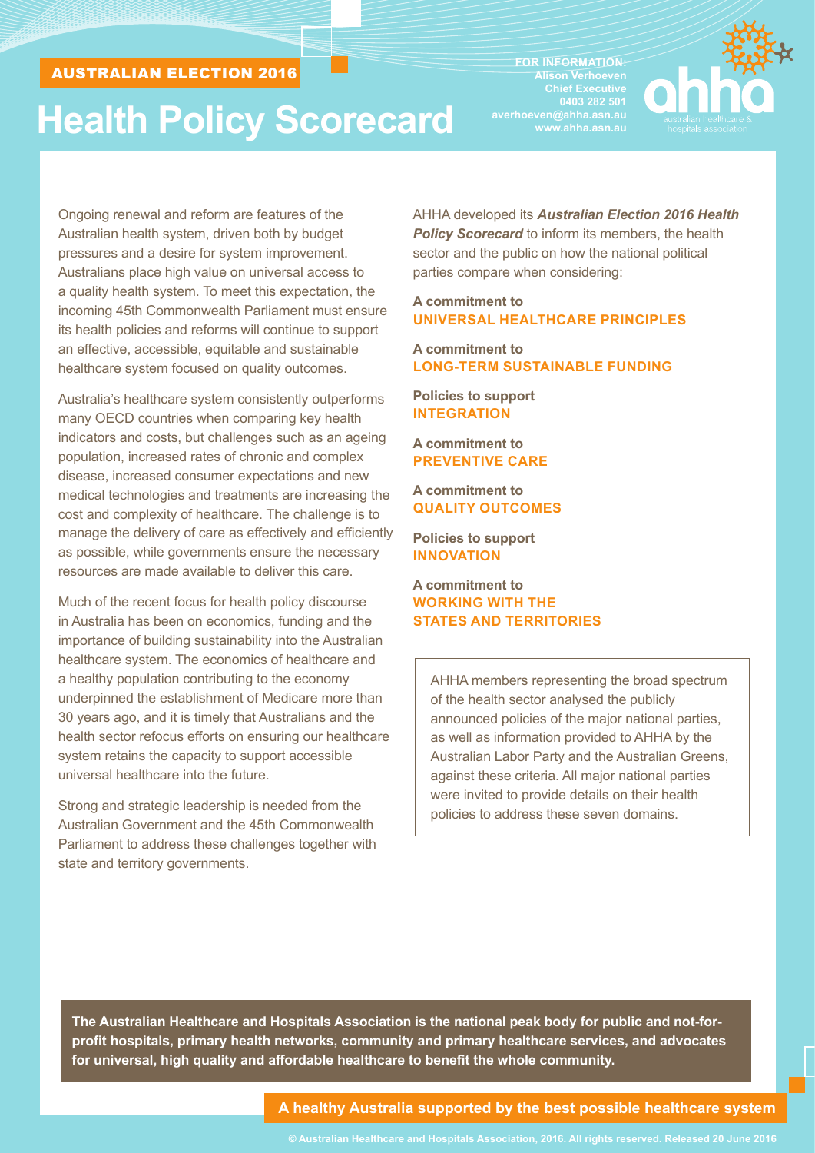# **Health Policy Scorecard**

**FOR INFORMATION: Alison Verhoeven Chief Executive 0403 282 501 averhoeven@ahha.asn.au www.ahha.asn.au** 



Ongoing renewal and reform are features of the Australian health system, driven both by budget pressures and a desire for system improvement. Australians place high value on universal access to a quality health system. To meet this expectation, the incoming 45th Commonwealth Parliament must ensure its health policies and reforms will continue to support an effective, accessible, equitable and sustainable healthcare system focused on quality outcomes.

Australia's healthcare system consistently outperforms many OECD countries when comparing key health indicators and costs, but challenges such as an ageing population, increased rates of chronic and complex disease, increased consumer expectations and new medical technologies and treatments are increasing the cost and complexity of healthcare. The challenge is to manage the delivery of care as effectively and efficiently as possible, while governments ensure the necessary resources are made available to deliver this care.

Much of the recent focus for health policy discourse in Australia has been on economics, funding and the importance of building sustainability into the Australian healthcare system. The economics of healthcare and a healthy population contributing to the economy underpinned the establishment of Medicare more than 30 years ago, and it is timely that Australians and the health sector refocus efforts on ensuring our healthcare system retains the capacity to support accessible universal healthcare into the future.

Strong and strategic leadership is needed from the Australian Government and the 45th Commonwealth Parliament to address these challenges together with state and territory governments.

AHHA developed its *Australian Election 2016 Health*  **Policy Scorecard** to inform its members, the health sector and the public on how the national political parties compare when considering:

#### **A commitment to UNIVERSAL HEALTHCARE PRINCIPLES**

**A commitment to LONG-TERM SUSTAINABLE FUNDING**

**Policies to support INTEGRATION**

**A commitment to PREVENTIVE CARE**

**A commitment to QUALITY OUTCOMES**

**Policies to support INNOVATION**

**A commitment to WORKING WITH THE STATES AND TERRITORIES**

AHHA members representing the broad spectrum of the health sector analysed the publicly announced policies of the major national parties, as well as information provided to AHHA by the Australian Labor Party and the Australian Greens, against these criteria. All major national parties were invited to provide details on their health policies to address these seven domains.

**The Australian Healthcare and Hospitals Association is the national peak body for public and not-forprofit hospitals, primary health networks, community and primary healthcare services, and advocates for universal, high quality and affordable healthcare to benefit the whole community.**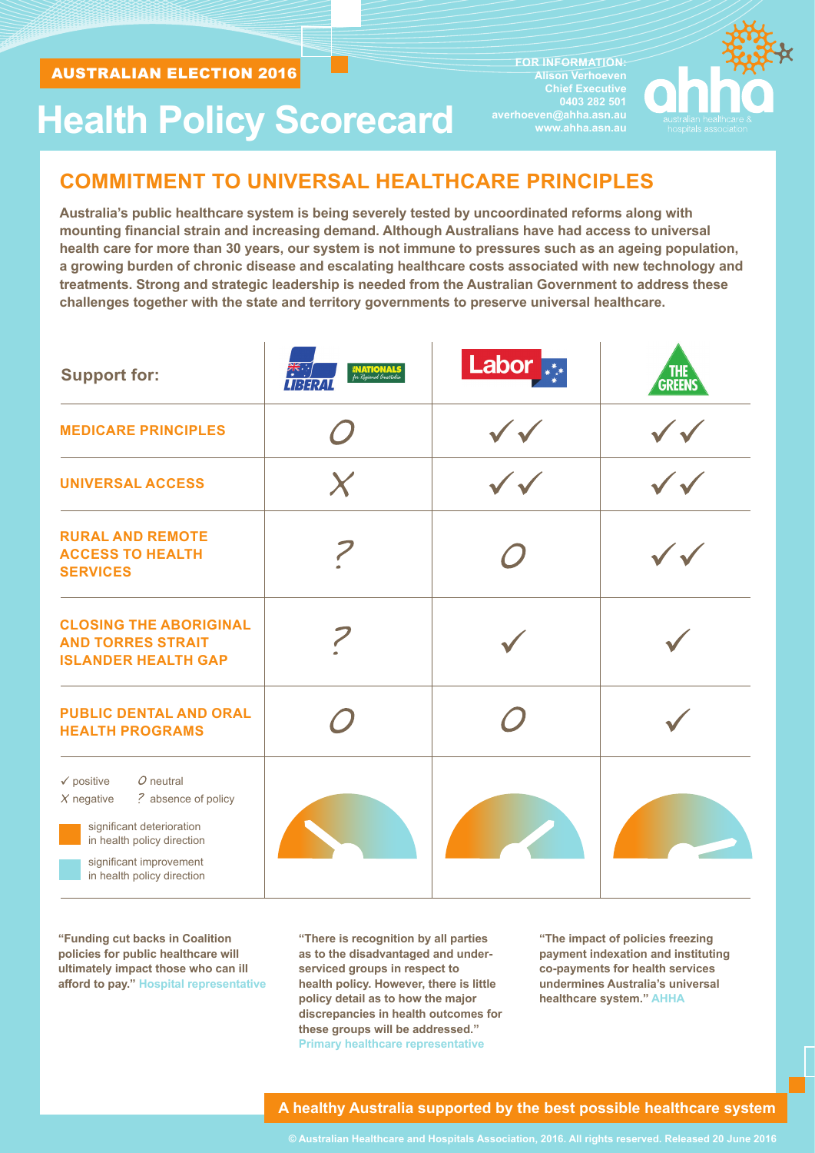**Health Policy Scorecard**

**FOR INFORMATION: Alison Verhoeven Chief Executive averhoeven@ahha.asn.au www.ahha.asn.au** 



## **COMMITMENT TO UNIVERSAL HEALTHCARE PRINCIPLES**

**Australia's public healthcare system is being severely tested by uncoordinated reforms along with mounting financial strain and increasing demand. Although Australians have had access to universal health care for more than 30 years, our system is not immune to pressures such as an ageing population, a growing burden of chronic disease and escalating healthcare costs associated with new technology and treatments. Strong and strategic leadership is needed from the Australian Government to address these challenges together with the state and territory governments to preserve universal healthcare.**

| <b>Support for:</b>                                                                                                                                                                             | <b>INATIONALS</b><br>for Regional Australia<br>LIBERAI | Labor <sub>***</sub> | <b>THE</b><br>GREENS |
|-------------------------------------------------------------------------------------------------------------------------------------------------------------------------------------------------|--------------------------------------------------------|----------------------|----------------------|
| <b>MEDICARE PRINCIPLES</b>                                                                                                                                                                      |                                                        |                      |                      |
| <b>UNIVERSAL ACCESS</b>                                                                                                                                                                         | X                                                      |                      |                      |
| <b>RURAL AND REMOTE</b><br><b>ACCESS TO HEALTH</b><br><b>SERVICES</b>                                                                                                                           |                                                        |                      |                      |
| <b>CLOSING THE ABORIGINAL</b><br><b>AND TORRES STRAIT</b><br><b>ISLANDER HEALTH GAP</b>                                                                                                         |                                                        |                      |                      |
| <b>PUBLIC DENTAL AND ORAL</b><br><b>HEALTH PROGRAMS</b>                                                                                                                                         |                                                        |                      |                      |
| $O$ neutral<br>$\checkmark$ positive<br>? absence of policy<br>$X$ negative<br>significant deterioration<br>in health policy direction<br>significant improvement<br>in health policy direction |                                                        |                      |                      |

**"Funding cut backs in Coalition policies for public healthcare will ultimately impact those who can ill afford to pay." Hospital representative**

**"There is recognition by all parties as to the disadvantaged and underserviced groups in respect to health policy. However, there is little policy detail as to how the major discrepancies in health outcomes for these groups will be addressed." Primary healthcare representative**

**"The impact of policies freezing payment indexation and instituting co-payments for health services undermines Australia's universal healthcare system." AHHA**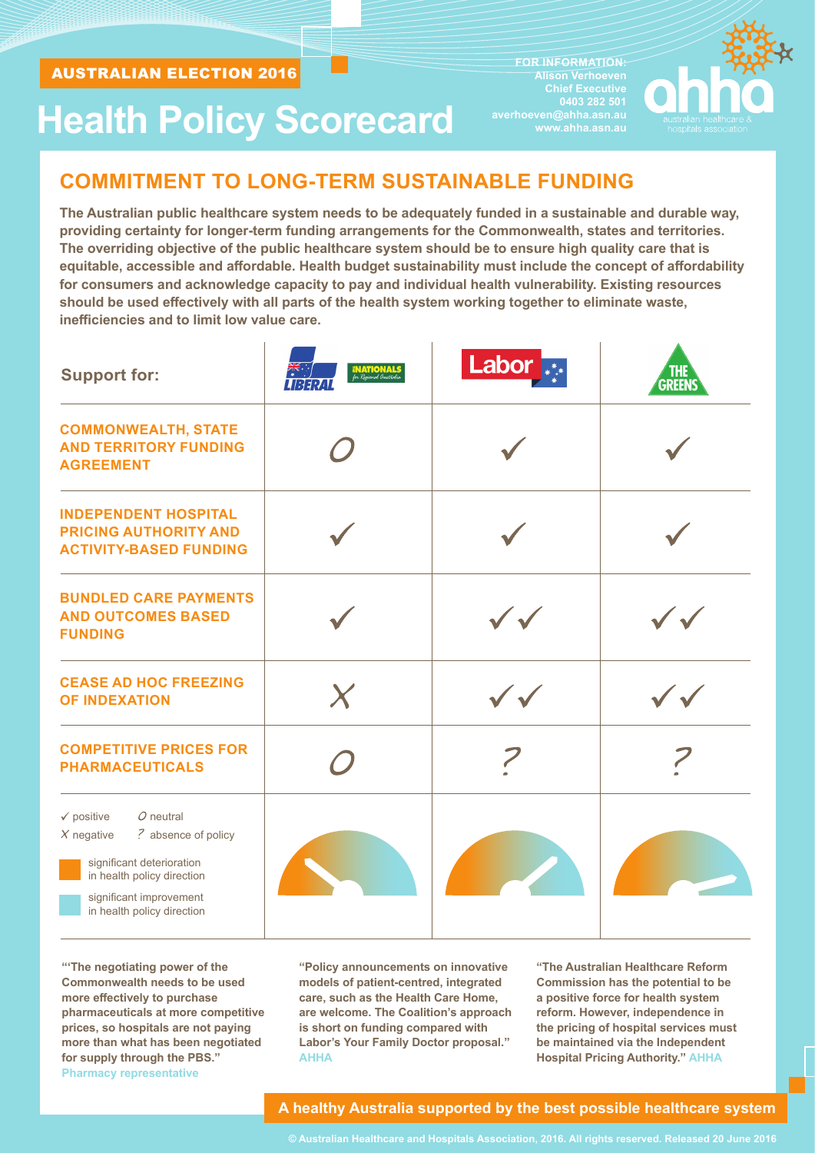**FOR INFORMATION: Alison Verhoeven Chief Executive averhoeven@ahha.asn.au www.ahha.asn.au** 



# **Health Policy Scorecard**

## **COMMITMENT TO LONG-TERM SUSTAINABLE FUNDING**

**The Australian public healthcare system needs to be adequately funded in a sustainable and durable way, providing certainty for longer-term funding arrangements for the Commonwealth, states and territories. The overriding objective of the public healthcare system should be to ensure high quality care that is equitable, accessible and affordable. Health budget sustainability must include the concept of affordability for consumers and acknowledge capacity to pay and individual health vulnerability. Existing resources should be used effectively with all parts of the health system working together to eliminate waste, inefficiencies and to limit low value care.**

| <b>Support for:</b>                                                                                                                                                                             | <b>NATIONALS</b><br>for Regional Australia | Labor         | <b>GREENS</b> |
|-------------------------------------------------------------------------------------------------------------------------------------------------------------------------------------------------|--------------------------------------------|---------------|---------------|
| <b>COMMONWEALTH, STATE</b><br><b>AND TERRITORY FUNDING</b><br><b>AGREEMENT</b>                                                                                                                  |                                            |               |               |
| <b>INDEPENDENT HOSPITAL</b><br><b>PRICING AUTHORITY AND</b><br><b>ACTIVITY-BASED FUNDING</b>                                                                                                    |                                            |               |               |
| <b>BUNDLED CARE PAYMENTS</b><br><b>AND OUTCOMES BASED</b><br><b>FUNDING</b>                                                                                                                     |                                            | <b>Second</b> |               |
| <b>CEASE AD HOC FREEZING</b><br><b>OF INDEXATION</b>                                                                                                                                            | X                                          |               |               |
| <b>COMPETITIVE PRICES FOR</b><br><b>PHARMACEUTICALS</b>                                                                                                                                         |                                            |               |               |
| $O$ neutral<br>$\checkmark$ positive<br>? absence of policy<br>$X$ negative<br>significant deterioration<br>in health policy direction<br>significant improvement<br>in health policy direction |                                            |               |               |

**"'The negotiating power of the Commonwealth needs to be used more effectively to purchase pharmaceuticals at more competitive prices, so hospitals are not paying more than what has been negotiated for supply through the PBS." Pharmacy representative**

**"Policy announcements on innovative models of patient-centred, integrated care, such as the Health Care Home, are welcome. The Coalition's approach is short on funding compared with Labor's Your Family Doctor proposal." AHHA**

**"The Australian Healthcare Reform Commission has the potential to be a positive force for health system reform. However, independence in the pricing of hospital services must be maintained via the Independent Hospital Pricing Authority." AHHA**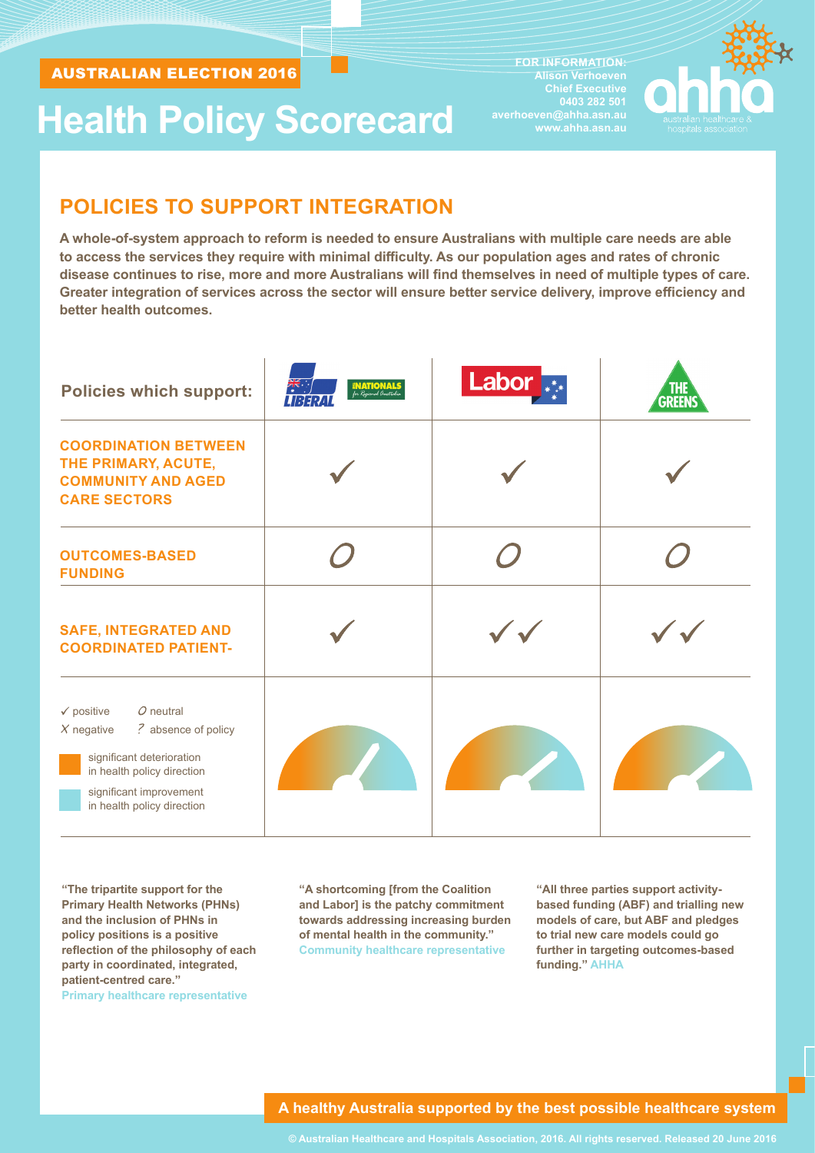# **Health Policy Scorecard**

**FOR INFORMATION: Alison Verhoeven Chief Executive averhoeven@ahha.asn.au www.ahha.asn.au** 



## **POLICIES TO SUPPORT INTEGRATION**

**A whole-of-system approach to reform is needed to ensure Australians with multiple care needs are able to access the services they require with minimal difficulty. As our population ages and rates of chronic disease continues to rise, more and more Australians will find themselves in need of multiple types of care. Greater integration of services across the sector will ensure better service delivery, improve efficiency and better health outcomes.**

| <b>Policies which support:</b>                                                                                                                                                                  | $\frac{1}{\sqrt{2}}$<br><b>ENATIONALS</b><br>for Regional Australia<br>URERAI | Labor <sub>***</sub> | THE<br><b>GREENS</b> |
|-------------------------------------------------------------------------------------------------------------------------------------------------------------------------------------------------|-------------------------------------------------------------------------------|----------------------|----------------------|
| <b>COORDINATION BETWEEN</b><br>THE PRIMARY, ACUTE,<br><b>COMMUNITY AND AGED</b><br><b>CARE SECTORS</b>                                                                                          |                                                                               |                      |                      |
| <b>OUTCOMES-BASED</b><br><b>FUNDING</b>                                                                                                                                                         |                                                                               |                      |                      |
| <b>SAFE, INTEGRATED AND</b><br><b>COORDINATED PATIENT-</b>                                                                                                                                      |                                                                               |                      |                      |
| $O$ neutral<br>$\checkmark$ positive<br>? absence of policy<br>$X$ negative<br>significant deterioration<br>in health policy direction<br>significant improvement<br>in health policy direction |                                                                               |                      |                      |

**"The tripartite support for the Primary Health Networks (PHNs) and the inclusion of PHNs in policy positions is a positive reflection of the philosophy of each party in coordinated, integrated, patient-centred care." Primary healthcare representative**

**"A shortcoming [from the Coalition and Labor] is the patchy commitment towards addressing increasing burden of mental health in the community." Community healthcare representative**

**"All three parties support activitybased funding (ABF) and trialling new models of care, but ABF and pledges to trial new care models could go further in targeting outcomes-based funding." AHHA**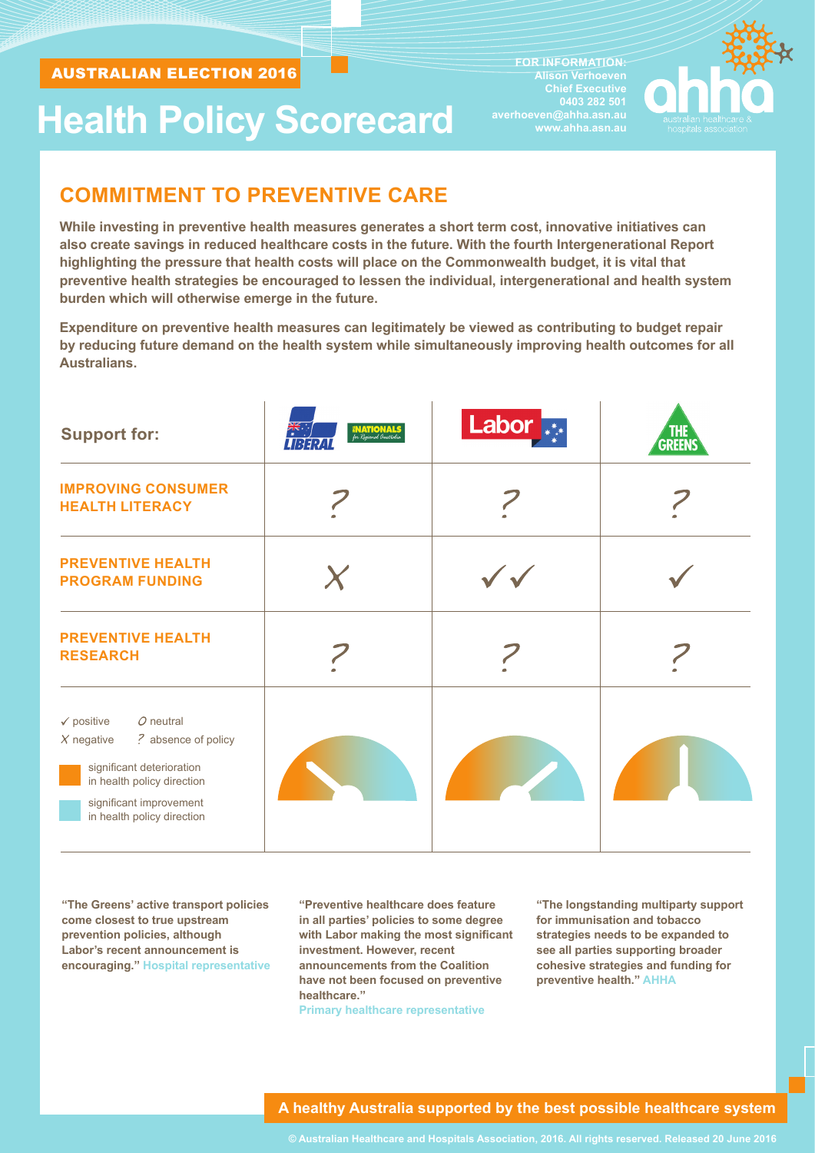# **Health Policy Scorecard**

**FOR INFORMATION: Alison Verhoeven Chief Executive averhoeven@ahha.asn.au www.ahha.asn.au** 



## **COMMITMENT TO PREVENTIVE CARE**

**While investing in preventive health measures generates a short term cost, innovative initiatives can also create savings in reduced healthcare costs in the future. With the fourth Intergenerational Report highlighting the pressure that health costs will place on the Commonwealth budget, it is vital that preventive health strategies be encouraged to lessen the individual, intergenerational and health system burden which will otherwise emerge in the future.**

**Expenditure on preventive health measures can legitimately be viewed as contributing to budget repair by reducing future demand on the health system while simultaneously improving health outcomes for all Australians.**

| <b>Support for:</b>                                                                                                                                                                             | ्भू<br><b>ENATIONALS</b><br>for Regional Australia<br>1252 I | Labor <sub>***</sub> | THE<br><b>GREENS</b> |
|-------------------------------------------------------------------------------------------------------------------------------------------------------------------------------------------------|--------------------------------------------------------------|----------------------|----------------------|
| <b>IMPROVING CONSUMER</b><br><b>HEALTH LITERACY</b>                                                                                                                                             |                                                              |                      |                      |
| <b>PREVENTIVE HEALTH</b><br><b>PROGRAM FUNDING</b>                                                                                                                                              | $\bm{\chi}$                                                  |                      |                      |
| <b>PREVENTIVE HEALTH</b><br><b>RESEARCH</b>                                                                                                                                                     |                                                              |                      |                      |
| $O$ neutral<br>$\checkmark$ positive<br>? absence of policy<br>$X$ negative<br>significant deterioration<br>in health policy direction<br>significant improvement<br>in health policy direction |                                                              |                      |                      |

**"The Greens' active transport policies come closest to true upstream prevention policies, although Labor's recent announcement is encouraging." Hospital representative**

**"Preventive healthcare does feature in all parties' policies to some degree with Labor making the most significant investment. However, recent announcements from the Coalition have not been focused on preventive healthcare."**

**Primary healthcare representative**

**"The longstanding multiparty support for immunisation and tobacco strategies needs to be expanded to see all parties supporting broader cohesive strategies and funding for preventive health." AHHA**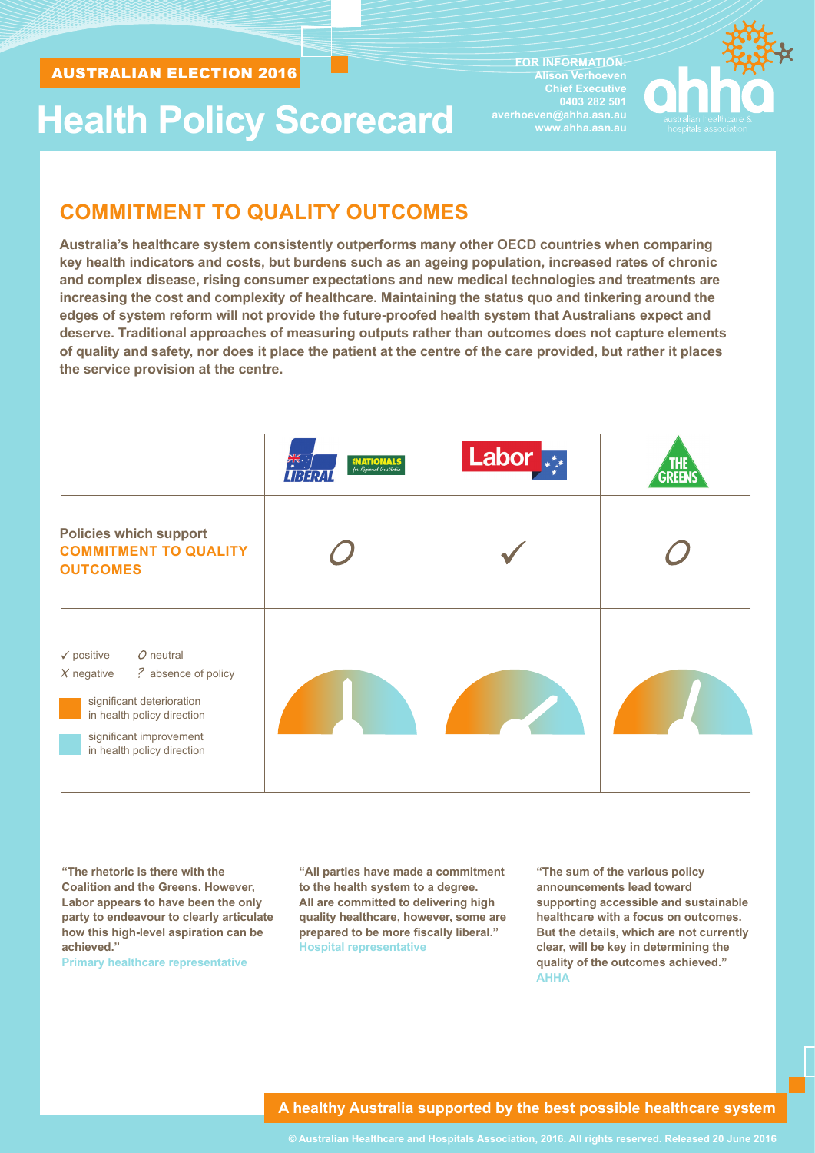# **Health Policy Scorecard**

**FOR INFORMATION: Alison Verhoeven Chief Executive averhoeven@ahha.asn.au www.ahha.asn.au** 



## **COMMITMENT TO QUALITY OUTCOMES**

**Australia's healthcare system consistently outperforms many other OECD countries when comparing key health indicators and costs, but burdens such as an ageing population, increased rates of chronic and complex disease, rising consumer expectations and new medical technologies and treatments are increasing the cost and complexity of healthcare. Maintaining the status quo and tinkering around the edges of system reform will not provide the future-proofed health system that Australians expect and deserve. Traditional approaches of measuring outputs rather than outcomes does not capture elements of quality and safety, nor does it place the patient at the centre of the care provided, but rather it places the service provision at the centre.**

|                                                                                                                                                                                                 | 美<br>美<br><b>NATIONALS</b><br>for Regional Australia<br>LIBERAL | <b>Labor</b><br>$\overline{*}$ | <b>THE</b> |
|-------------------------------------------------------------------------------------------------------------------------------------------------------------------------------------------------|-----------------------------------------------------------------|--------------------------------|------------|
| <b>Policies which support</b><br><b>COMMITMENT TO QUALITY</b><br><b>OUTCOMES</b>                                                                                                                |                                                                 |                                |            |
| $O$ neutral<br>$\checkmark$ positive<br>? absence of policy<br>$X$ negative<br>significant deterioration<br>in health policy direction<br>significant improvement<br>in health policy direction |                                                                 |                                |            |

**"The rhetoric is there with the Coalition and the Greens. However, Labor appears to have been the only party to endeavour to clearly articulate how this high-level aspiration can be achieved."** 

**Primary healthcare representative**

**"All parties have made a commitment to the health system to a degree. All are committed to delivering high quality healthcare, however, some are prepared to be more fiscally liberal." Hospital representative**

**"The sum of the various policy announcements lead toward supporting accessible and sustainable healthcare with a focus on outcomes. But the details, which are not currently clear, will be key in determining the quality of the outcomes achieved." AHHA**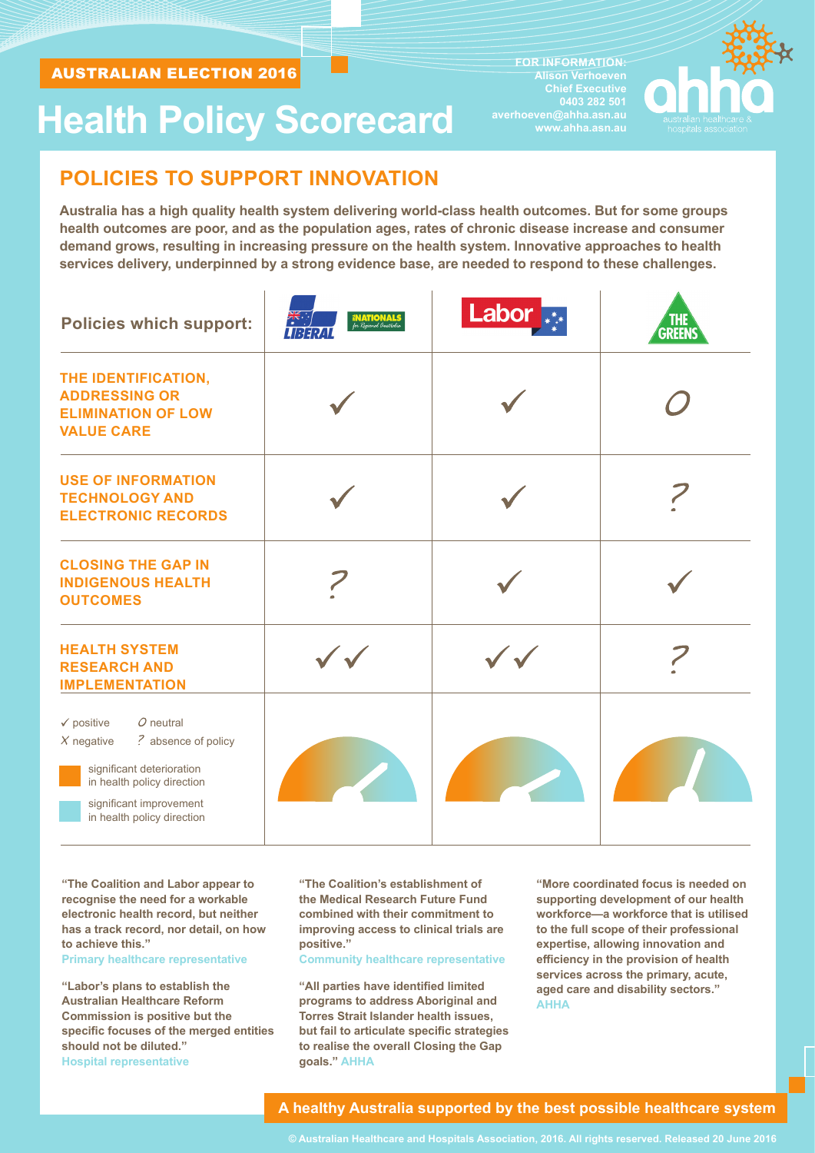# **Health Policy Scorecard**

**FOR INFORMATION: Alison Verhoeven Chief Executive averhoeven@ahha.asn.au www.ahha.asn.au** 



## **POLICIES TO SUPPORT INNOVATION**

**Australia has a high quality health system delivering world-class health outcomes. But for some groups health outcomes are poor, and as the population ages, rates of chronic disease increase and consumer demand grows, resulting in increasing pressure on the health system. Innovative approaches to health services delivery, underpinned by a strong evidence base, are needed to respond to these challenges.**

| <b>Policies which support:</b>                                                                                                                                                                  | <b>INATIONALS</b><br>for Regional Australia<br>UBERTI | Labor <sub>**</sub> | <u>THE</u><br><b>GREENS</b> |
|-------------------------------------------------------------------------------------------------------------------------------------------------------------------------------------------------|-------------------------------------------------------|---------------------|-----------------------------|
| THE IDENTIFICATION,<br><b>ADDRESSING OR</b><br><b>ELIMINATION OF LOW</b><br><b>VALUE CARE</b>                                                                                                   |                                                       |                     |                             |
| <b>USE OF INFORMATION</b><br><b>TECHNOLOGY AND</b><br><b>ELECTRONIC RECORDS</b>                                                                                                                 |                                                       |                     |                             |
| <b>CLOSING THE GAP IN</b><br><b>INDIGENOUS HEALTH</b><br><b>OUTCOMES</b>                                                                                                                        |                                                       |                     |                             |
| <b>HEALTH SYSTEM</b><br><b>RESEARCH AND</b><br><b>IMPLEMENTATION</b>                                                                                                                            |                                                       |                     |                             |
| $O$ neutral<br>$\checkmark$ positive<br>? absence of policy<br>$X$ negative<br>significant deterioration<br>in health policy direction<br>significant improvement<br>in health policy direction |                                                       |                     |                             |

**"The Coalition and Labor appear to recognise the need for a workable electronic health record, but neither has a track record, nor detail, on how to achieve this."** 

**Primary healthcare representative**

**"Labor's plans to establish the Australian Healthcare Reform Commission is positive but the specific focuses of the merged entities should not be diluted." Hospital representative**

**"The Coalition's establishment of the Medical Research Future Fund combined with their commitment to improving access to clinical trials are positive."** 

**Community healthcare representative**

**"All parties have identified limited programs to address Aboriginal and Torres Strait Islander health issues, but fail to articulate specific strategies to realise the overall Closing the Gap goals." AHHA**

**"More coordinated focus is needed on supporting development of our health workforce—a workforce that is utilised to the full scope of their professional expertise, allowing innovation and efficiency in the provision of health services across the primary, acute, aged care and disability sectors." AHHA**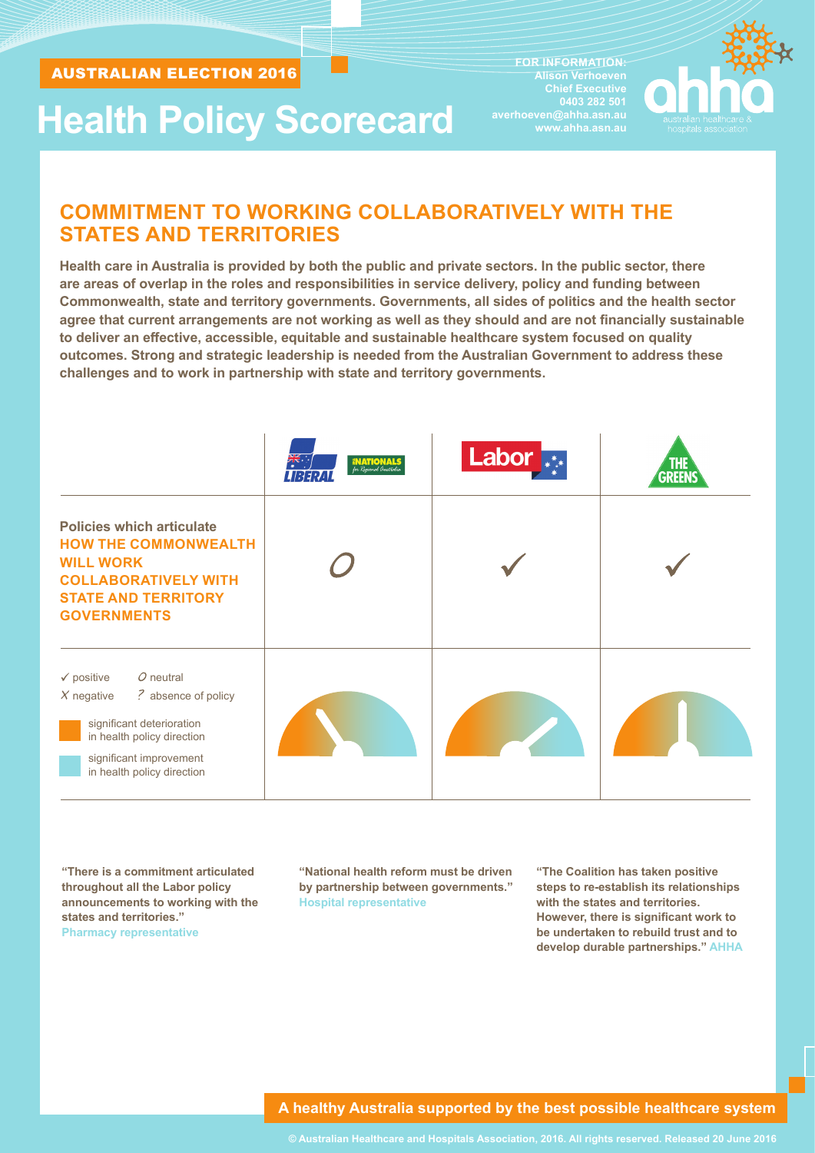# **Health Policy Scorecard**

**FOR INFORMATION: Alison Verhoeven Chief Executive averhoeven@ahha.asn.au www.ahha.asn.au** 



## **COMMITMENT TO WORKING COLLABORATIVELY WITH THE STATES AND TERRITORIES**

**Health care in Australia is provided by both the public and private sectors. In the public sector, there are areas of overlap in the roles and responsibilities in service delivery, policy and funding between Commonwealth, state and territory governments. Governments, all sides of politics and the health sector agree that current arrangements are not working as well as they should and are not financially sustainable to deliver an effective, accessible, equitable and sustainable healthcare system focused on quality outcomes. Strong and strategic leadership is needed from the Australian Government to address these challenges and to work in partnership with state and territory governments.**

|                                                                                                                                                                                                 | 美<br><b>ENATIONA</b><br>for Regional Australia<br>LIBERAL | <b>Labor</b> | <b>THE</b><br><b>GREEN</b> |
|-------------------------------------------------------------------------------------------------------------------------------------------------------------------------------------------------|-----------------------------------------------------------|--------------|----------------------------|
| <b>Policies which articulate</b><br><b>HOW THE COMMONWEALTH</b><br><b>WILL WORK</b><br><b>COLLABORATIVELY WITH</b><br><b>STATE AND TERRITORY</b><br><b>GOVERNMENTS</b>                          |                                                           |              |                            |
| $O$ neutral<br>$\checkmark$ positive<br>? absence of policy<br>$X$ negative<br>significant deterioration<br>in health policy direction<br>significant improvement<br>in health policy direction |                                                           |              |                            |

**"There is a commitment articulated throughout all the Labor policy announcements to working with the states and territories." Pharmacy representative**

**"National health reform must be driven by partnership between governments." Hospital representative**

**"The Coalition has taken positive steps to re-establish its relationships with the states and territories. However, there is significant work to be undertaken to rebuild trust and to develop durable partnerships." AHHA**